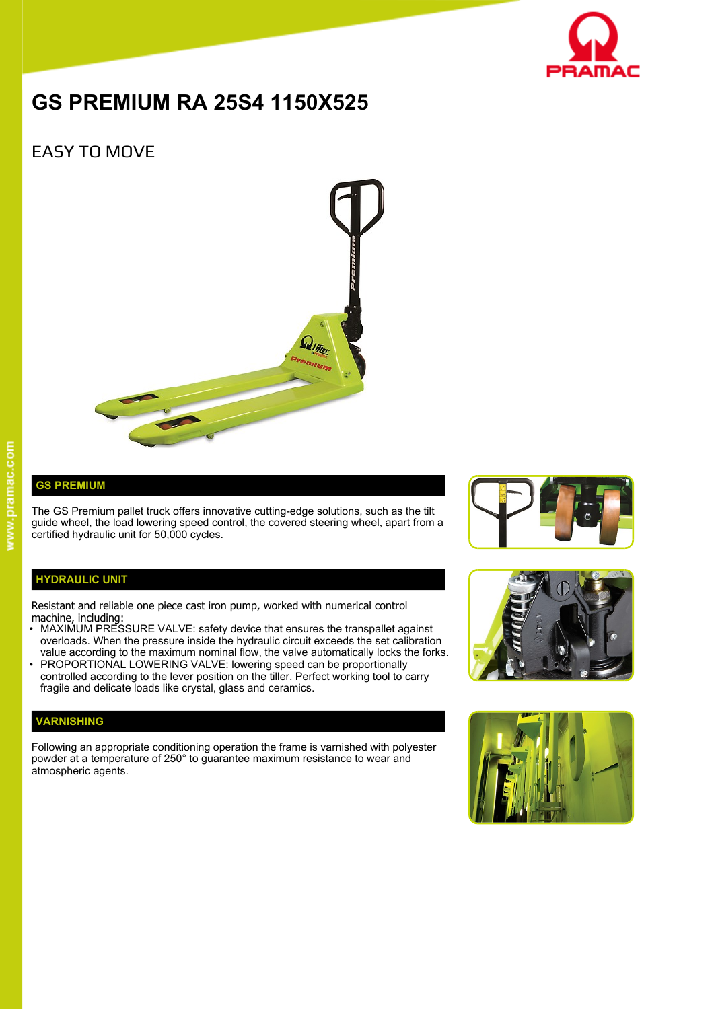

# **GS PREMIUM RA 25S4 1150X525**

## EASY TO MOVE



### **GS PREMIUM**

The GS Premium pallet truck offers innovative cutting-edge solutions, such as the tilt guide wheel, the load lowering speed control, the covered steering wheel, apart from a certified hydraulic unit for 50,000 cycles.

#### **HYDRAULIC UNIT**

Resistant and reliable one piece cast iron pump, worked with numerical control machine, including:

- MAXIMUM PRESSURE VALVE: safety device that ensures the transpallet against overloads. When the pressure inside the hydraulic circuit exceeds the set calibration value according to the maximum nominal flow, the valve automatically locks the forks.
- PROPORTIONAL LOWERING VALVE: lowering speed can be proportionally controlled according to the lever position on the tiller. Perfect working tool to carry fragile and delicate loads like crystal, glass and ceramics.

#### **VARNISHING**

Following an appropriate conditioning operation the frame is varnished with polyester powder at a temperature of 250° to guarantee maximum resistance to wear and atmospheric agents.





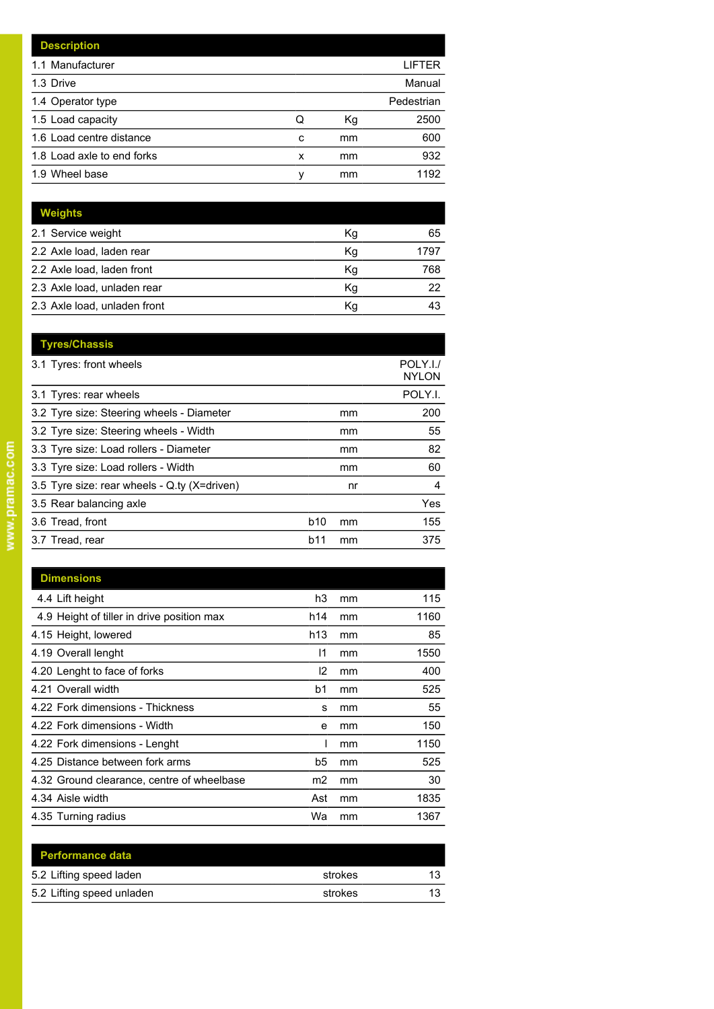|   |    | LIFTER     |
|---|----|------------|
|   |    | Manual     |
|   |    | Pedestrian |
| Q | Кg | 2500       |
| C | mm | 600        |
| x | mm | 932        |
| ν | mm | 1192       |
|   |    |            |

| <b>Weights</b>               |    |      |
|------------------------------|----|------|
| 2.1 Service weight           | Kg | 65   |
| 2.2 Axle load, laden rear    | Kg | 1797 |
| 2.2 Axle load, laden front   | Kg | 768  |
| 2.3 Axle load, unladen rear  | Kq | 22   |
| 2.3 Axle load, unladen front | Кq | 43   |

| <b>Tyres/Chassis</b>                         |                 |    | POLY.I./     |
|----------------------------------------------|-----------------|----|--------------|
| 3.1 Tyres: front wheels                      |                 |    | <b>NYLON</b> |
| 3.1 Tyres: rear wheels                       |                 |    | POLY.I.      |
| 3.2 Tyre size: Steering wheels - Diameter    |                 | mm | 200          |
| 3.2 Tyre size: Steering wheels - Width       |                 | mm | 55           |
| 3.3 Tyre size: Load rollers - Diameter       |                 | mm | 82           |
| 3.3 Tyre size: Load rollers - Width          |                 | mm | 60           |
| 3.5 Tyre size: rear wheels - Q.ty (X=driven) |                 | nr | 4            |
| 3.5 Rear balancing axle                      |                 |    | Yes          |
| 3.6 Tread, front                             | b <sub>10</sub> | mm | 155          |
| 3.7 Tread, rear                              | b11             | mm | 375          |
|                                              |                 |    |              |

| <b>Dimensions</b>                          |                |    |      |
|--------------------------------------------|----------------|----|------|
| 4.4 Lift height                            | h3             | mm | 115  |
| 4.9 Height of tiller in drive position max | h14            | mm | 1160 |
| 4.15 Height, lowered                       | h13            | mm | 85   |
| 4.19 Overall lenght                        | 11             | mm | 1550 |
| 4.20 Lenght to face of forks               | 12             | mm | 400  |
| 4.21 Overall width                         | b1             | mm | 525  |
| 4.22 Fork dimensions - Thickness           | s              | mm | 55   |
| 4.22 Fork dimensions - Width               | е              | mm | 150  |
| 4.22 Fork dimensions - Lenght              | I              | mm | 1150 |
| 4.25 Distance between fork arms            | b5             | mm | 525  |
| 4.32 Ground clearance, centre of wheelbase | m <sub>2</sub> | mm | 30   |
| 4.34 Aisle width                           | Ast            | mm | 1835 |
| 4.35 Turning radius                        | Wa             | mm | 1367 |

| <b>Performance data</b>   |         |    |
|---------------------------|---------|----|
| 5.2 Lifting speed laden   | strokes | 13 |
| 5.2 Lifting speed unladen | strokes | 13 |
|                           |         |    |